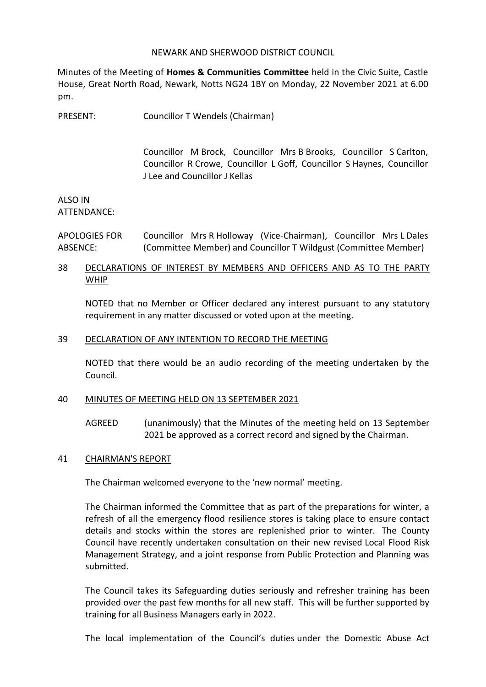### NEWARK AND SHERWOOD DISTRICT COUNCIL

Minutes of the Meeting of **Homes & Communities Committee** held in the Civic Suite, Castle House, Great North Road, Newark, Notts NG24 1BY on Monday, 22 November 2021 at 6.00 pm.

PRESENT: Councillor T Wendels (Chairman)

Councillor M Brock, Councillor Mrs B Brooks, Councillor S Carlton, Councillor R Crowe, Councillor L Goff, Councillor S Haynes, Councillor J Lee and Councillor J Kellas

ALSO IN ATTENDANCE:

APOLOGIES FOR ABSENCE: Councillor Mrs R Holloway (Vice-Chairman), Councillor Mrs L Dales (Committee Member) and Councillor T Wildgust (Committee Member)

## 38 DECLARATIONS OF INTEREST BY MEMBERS AND OFFICERS AND AS TO THE PARTY WHIP

NOTED that no Member or Officer declared any interest pursuant to any statutory requirement in any matter discussed or voted upon at the meeting.

### 39 DECLARATION OF ANY INTENTION TO RECORD THE MEETING

NOTED that there would be an audio recording of the meeting undertaken by the Council.

#### 40 MINUTES OF MEETING HELD ON 13 SEPTEMBER 2021

AGREED (unanimously) that the Minutes of the meeting held on 13 September 2021 be approved as a correct record and signed by the Chairman.

#### 41 CHAIRMAN'S REPORT

The Chairman welcomed everyone to the 'new normal' meeting.

The Chairman informed the Committee that as part of the preparations for winter, a refresh of all the emergency flood resilience stores is taking place to ensure contact details and stocks within the stores are replenished prior to winter. The County Council have recently undertaken consultation on their new revised Local Flood Risk Management Strategy, and a joint response from Public Protection and Planning was submitted.

The Council takes its Safeguarding duties seriously and refresher training has been provided over the past few months for all new staff. This will be further supported by training for all Business Managers early in 2022.

The local implementation of the Council's duties under the Domestic Abuse Act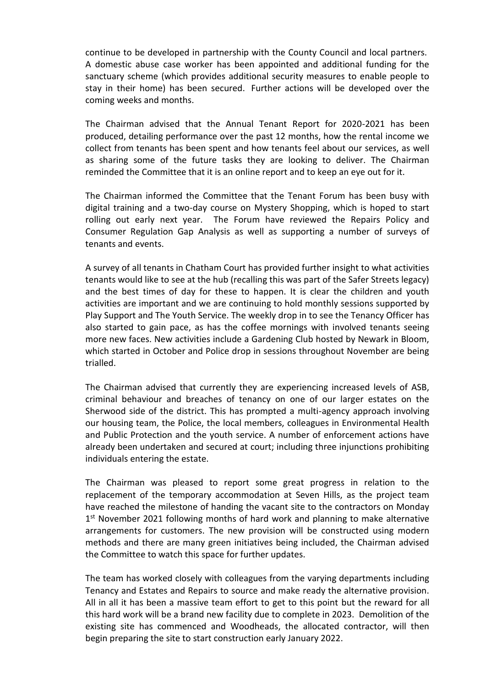continue to be developed in partnership with the County Council and local partners. A domestic abuse case worker has been appointed and additional funding for the sanctuary scheme (which provides additional security measures to enable people to stay in their home) has been secured. Further actions will be developed over the coming weeks and months.

The Chairman advised that the Annual Tenant Report for 2020-2021 has been produced, detailing performance over the past 12 months, how the rental income we collect from tenants has been spent and how tenants feel about our services, as well as sharing some of the future tasks they are looking to deliver. The Chairman reminded the Committee that it is an online report and to keep an eye out for it.

The Chairman informed the Committee that the Tenant Forum has been busy with digital training and a two-day course on Mystery Shopping, which is hoped to start rolling out early next year. The Forum have reviewed the Repairs Policy and Consumer Regulation Gap Analysis as well as supporting a number of surveys of tenants and events.

A survey of all tenants in Chatham Court has provided further insight to what activities tenants would like to see at the hub (recalling this was part of the Safer Streets legacy) and the best times of day for these to happen. It is clear the children and youth activities are important and we are continuing to hold monthly sessions supported by Play Support and The Youth Service. The weekly drop in to see the Tenancy Officer has also started to gain pace, as has the coffee mornings with involved tenants seeing more new faces. New activities include a Gardening Club hosted by Newark in Bloom, which started in October and Police drop in sessions throughout November are being trialled.

The Chairman advised that currently they are experiencing increased levels of ASB, criminal behaviour and breaches of tenancy on one of our larger estates on the Sherwood side of the district. This has prompted a multi-agency approach involving our housing team, the Police, the local members, colleagues in Environmental Health and Public Protection and the youth service. A number of enforcement actions have already been undertaken and secured at court; including three injunctions prohibiting individuals entering the estate.

The Chairman was pleased to report some great progress in relation to the replacement of the temporary accommodation at Seven Hills, as the project team have reached the milestone of handing the vacant site to the contractors on Monday 1<sup>st</sup> November 2021 following months of hard work and planning to make alternative arrangements for customers. The new provision will be constructed using modern methods and there are many green initiatives being included, the Chairman advised the Committee to watch this space for further updates.

The team has worked closely with colleagues from the varying departments including Tenancy and Estates and Repairs to source and make ready the alternative provision. All in all it has been a massive team effort to get to this point but the reward for all this hard work will be a brand new facility due to complete in 2023. Demolition of the existing site has commenced and Woodheads, the allocated contractor, will then begin preparing the site to start construction early January 2022.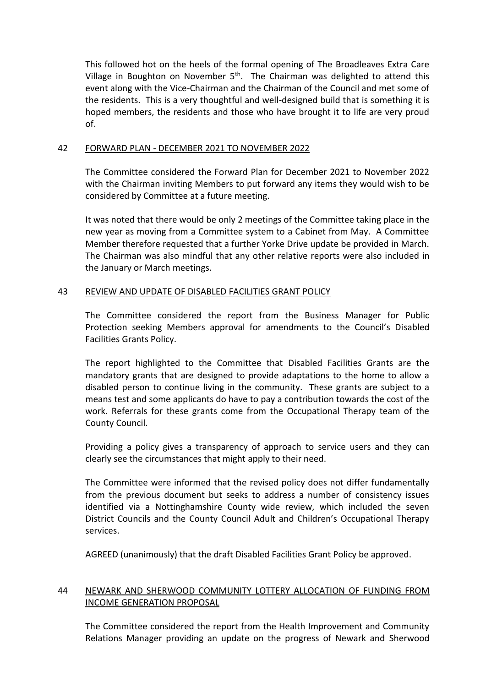This followed hot on the heels of the formal opening of The Broadleaves Extra Care Village in Boughton on November  $5<sup>th</sup>$ . The Chairman was delighted to attend this event along with the Vice-Chairman and the Chairman of the Council and met some of the residents. This is a very thoughtful and well-designed build that is something it is hoped members, the residents and those who have brought it to life are very proud of.

## 42 FORWARD PLAN - DECEMBER 2021 TO NOVEMBER 2022

The Committee considered the Forward Plan for December 2021 to November 2022 with the Chairman inviting Members to put forward any items they would wish to be considered by Committee at a future meeting.

It was noted that there would be only 2 meetings of the Committee taking place in the new year as moving from a Committee system to a Cabinet from May. A Committee Member therefore requested that a further Yorke Drive update be provided in March. The Chairman was also mindful that any other relative reports were also included in the January or March meetings.

## 43 REVIEW AND UPDATE OF DISABLED FACILITIES GRANT POLICY

The Committee considered the report from the Business Manager for Public Protection seeking Members approval for amendments to the Council's Disabled Facilities Grants Policy.

The report highlighted to the Committee that Disabled Facilities Grants are the mandatory grants that are designed to provide adaptations to the home to allow a disabled person to continue living in the community. These grants are subject to a means test and some applicants do have to pay a contribution towards the cost of the work. Referrals for these grants come from the Occupational Therapy team of the County Council.

Providing a policy gives a transparency of approach to service users and they can clearly see the circumstances that might apply to their need.

The Committee were informed that the revised policy does not differ fundamentally from the previous document but seeks to address a number of consistency issues identified via a Nottinghamshire County wide review, which included the seven District Councils and the County Council Adult and Children's Occupational Therapy services.

AGREED (unanimously) that the draft Disabled Facilities Grant Policy be approved.

# 44 NEWARK AND SHERWOOD COMMUNITY LOTTERY ALLOCATION OF FUNDING FROM INCOME GENERATION PROPOSAL

The Committee considered the report from the Health Improvement and Community Relations Manager providing an update on the progress of Newark and Sherwood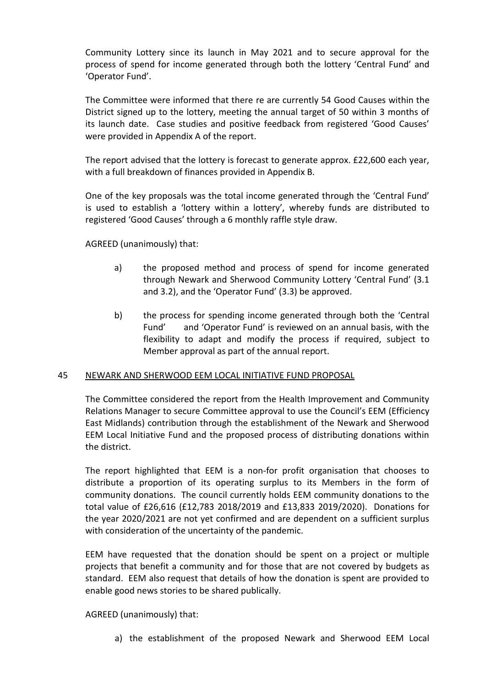Community Lottery since its launch in May 2021 and to secure approval for the process of spend for income generated through both the lottery 'Central Fund' and 'Operator Fund'.

The Committee were informed that there re are currently 54 Good Causes within the District signed up to the lottery, meeting the annual target of 50 within 3 months of its launch date. Case studies and positive feedback from registered 'Good Causes' were provided in Appendix A of the report.

The report advised that the lottery is forecast to generate approx. £22,600 each year, with a full breakdown of finances provided in Appendix B.

One of the key proposals was the total income generated through the 'Central Fund' is used to establish a 'lottery within a lottery', whereby funds are distributed to registered 'Good Causes' through a 6 monthly raffle style draw.

AGREED (unanimously) that:

- a) the proposed method and process of spend for income generated through Newark and Sherwood Community Lottery 'Central Fund' (3.1 and 3.2), and the 'Operator Fund' (3.3) be approved.
- b) the process for spending income generated through both the 'Central Fund' and 'Operator Fund' is reviewed on an annual basis, with the flexibility to adapt and modify the process if required, subject to Member approval as part of the annual report.

## 45 NEWARK AND SHERWOOD EEM LOCAL INITIATIVE FUND PROPOSAL

The Committee considered the report from the Health Improvement and Community Relations Manager to secure Committee approval to use the Council's EEM (Efficiency East Midlands) contribution through the establishment of the Newark and Sherwood EEM Local Initiative Fund and the proposed process of distributing donations within the district.

The report highlighted that EEM is a non-for profit organisation that chooses to distribute a proportion of its operating surplus to its Members in the form of community donations. The council currently holds EEM community donations to the total value of £26,616 (£12,783 2018/2019 and £13,833 2019/2020). Donations for the year 2020/2021 are not yet confirmed and are dependent on a sufficient surplus with consideration of the uncertainty of the pandemic.

EEM have requested that the donation should be spent on a project or multiple projects that benefit a community and for those that are not covered by budgets as standard. EEM also request that details of how the donation is spent are provided to enable good news stories to be shared publically.

# AGREED (unanimously) that:

a) the establishment of the proposed Newark and Sherwood EEM Local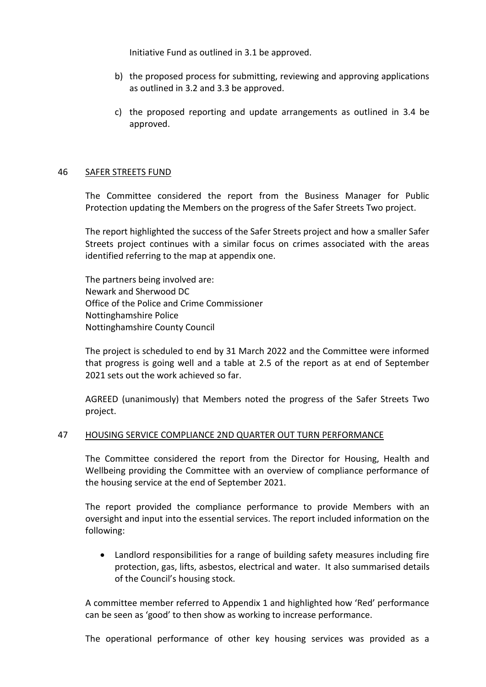Initiative Fund as outlined in 3.1 be approved.

- b) the proposed process for submitting, reviewing and approving applications as outlined in 3.2 and 3.3 be approved.
- c) the proposed reporting and update arrangements as outlined in 3.4 be approved.

### 46 SAFER STREETS FUND

The Committee considered the report from the Business Manager for Public Protection updating the Members on the progress of the Safer Streets Two project.

The report highlighted the success of the Safer Streets project and how a smaller Safer Streets project continues with a similar focus on crimes associated with the areas identified referring to the map at appendix one.

The partners being involved are: Newark and Sherwood DC Office of the Police and Crime Commissioner Nottinghamshire Police Nottinghamshire County Council

The project is scheduled to end by 31 March 2022 and the Committee were informed that progress is going well and a table at 2.5 of the report as at end of September 2021 sets out the work achieved so far.

AGREED (unanimously) that Members noted the progress of the Safer Streets Two project.

#### 47 HOUSING SERVICE COMPLIANCE 2ND QUARTER OUT TURN PERFORMANCE

The Committee considered the report from the Director for Housing, Health and Wellbeing providing the Committee with an overview of compliance performance of the housing service at the end of September 2021.

The report provided the compliance performance to provide Members with an oversight and input into the essential services. The report included information on the following:

 Landlord responsibilities for a range of building safety measures including fire protection, gas, lifts, asbestos, electrical and water. It also summarised details of the Council's housing stock.

A committee member referred to Appendix 1 and highlighted how 'Red' performance can be seen as 'good' to then show as working to increase performance.

The operational performance of other key housing services was provided as a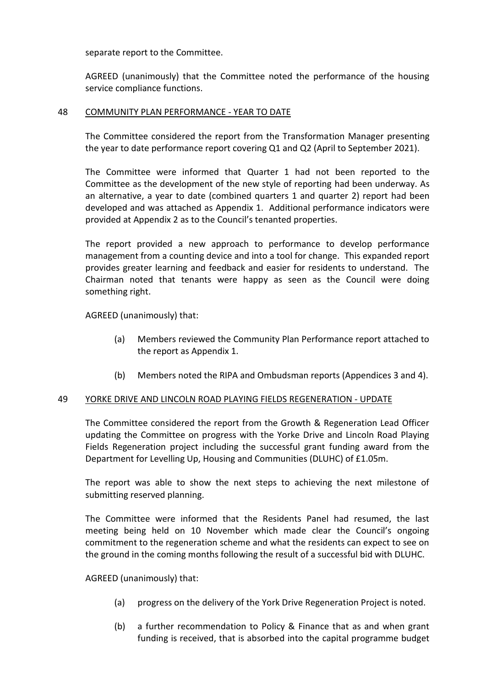separate report to the Committee.

AGREED (unanimously) that the Committee noted the performance of the housing service compliance functions.

## 48 COMMUNITY PLAN PERFORMANCE - YEAR TO DATE

The Committee considered the report from the Transformation Manager presenting the year to date performance report covering Q1 and Q2 (April to September 2021).

The Committee were informed that Quarter 1 had not been reported to the Committee as the development of the new style of reporting had been underway. As an alternative, a year to date (combined quarters 1 and quarter 2) report had been developed and was attached as Appendix 1. Additional performance indicators were provided at Appendix 2 as to the Council's tenanted properties.

The report provided a new approach to performance to develop performance management from a counting device and into a tool for change. This expanded report provides greater learning and feedback and easier for residents to understand. The Chairman noted that tenants were happy as seen as the Council were doing something right.

AGREED (unanimously) that:

- (a) Members reviewed the Community Plan Performance report attached to the report as Appendix 1.
- (b) Members noted the RIPA and Ombudsman reports (Appendices 3 and 4).

## 49 YORKE DRIVE AND LINCOLN ROAD PLAYING FIELDS REGENERATION - UPDATE

The Committee considered the report from the Growth & Regeneration Lead Officer updating the Committee on progress with the Yorke Drive and Lincoln Road Playing Fields Regeneration project including the successful grant funding award from the Department for Levelling Up, Housing and Communities (DLUHC) of £1.05m.

The report was able to show the next steps to achieving the next milestone of submitting reserved planning.

The Committee were informed that the Residents Panel had resumed, the last meeting being held on 10 November which made clear the Council's ongoing commitment to the regeneration scheme and what the residents can expect to see on the ground in the coming months following the result of a successful bid with DLUHC.

AGREED (unanimously) that:

- (a) progress on the delivery of the York Drive Regeneration Project is noted.
- (b) a further recommendation to Policy & Finance that as and when grant funding is received, that is absorbed into the capital programme budget